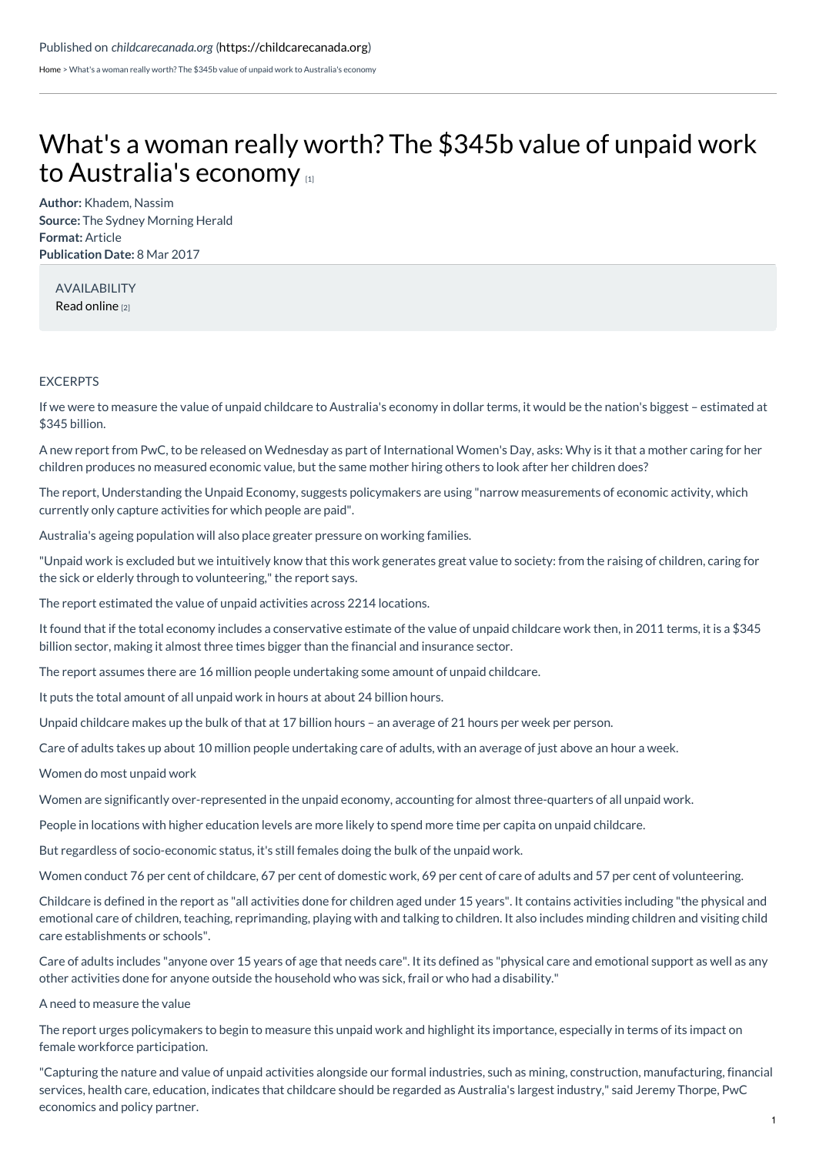[Home](https://childcarecanada.org/) > What's a woman really worth? The \$345b value of unpaid work to Australia's economy

## What's a woman really worth? The \$345b value of unpaid work to [Australia's](https://childcarecanada.org/documents/child-care-news/17/03/whats-woman-really-worth-345b-value-unpaid-work-australias-economy) economy

**Author:** Khadem, Nassim **Source:** The Sydney Morning Herald **Format:** Article **Publication Date:** 8 Mar 2017

AVAILABILITY Read [online](https://www.smh.com.au/business/the-economy/whats-a-woman-really-worth-the-345b-value-of-unpaid-work-to-australias-economy-20170306-gurpkh.html) [2]

## EXCERPTS

If we were to measure the value of unpaid childcare to Australia's economy in dollar terms, it would be the nation's biggest – estimated at \$345 billion.

A new report from PwC, to be released on Wednesday as part of International Women's Day, asks: Why is it that a mother caring for her children produces no measured economic value, but the same mother hiring others to look after her children does?

The report, Understanding the Unpaid Economy, suggests policymakers are using "narrow measurements of economic activity, which currently only capture activities for which people are paid".

Australia's ageing population will also place greater pressure on working families.

"Unpaid work is excluded but we intuitively know that this work generates great value to society: from the raising of children, caring for the sick or elderly through to volunteering," the report says.

The report estimated the value of unpaid activities across 2214 locations.

It found that if the total economy includes a conservative estimate of the value of unpaid childcare work then, in 2011 terms, it is a \$345 billion sector, making it almost three times bigger than the financial and insurance sector.

The report assumes there are 16 million people undertaking some amount of unpaid childcare.

It puts the total amount of all unpaid work in hours at about 24 billion hours.

Unpaid childcare makes up the bulk of that at 17 billion hours – an average of 21 hours per week per person.

Care of adults takes up about 10 million people undertaking care of adults, with an average of just above an hour a week.

Women do most unpaid work

Women are significantly over-represented in the unpaid economy, accounting for almost three-quarters of all unpaid work.

People in locations with higher education levels are more likely to spend more time per capita on unpaid childcare.

But regardless of socio-economic status, it's still females doing the bulk of the unpaid work.

Women conduct 76 per cent of childcare, 67 per cent of domestic work, 69 per cent of care of adults and 57 per cent of volunteering.

Childcare is defined in the report as "all activities done for children aged under 15 years". It contains activities including "the physical and emotional care of children, teaching, reprimanding, playing with and talking to children. It also includes minding children and visiting child care establishments or schools".

Care of adults includes "anyone over 15 years of age that needs care". It its defined as "physical care and emotional support as well as any other activities done for anyone outside the household who was sick, frail or who had a disability."

A need to measure the value

The report urges policymakers to begin to measure this unpaid work and highlight its importance, especially in terms of its impact on female workforce participation.

"Capturing the nature and value of unpaid activities alongside our formal industries, such as mining, construction, manufacturing, financial services, health care, education, indicates that childcare should be regarded as Australia's largest industry," said Jeremy Thorpe, PwC economics and policy partner.